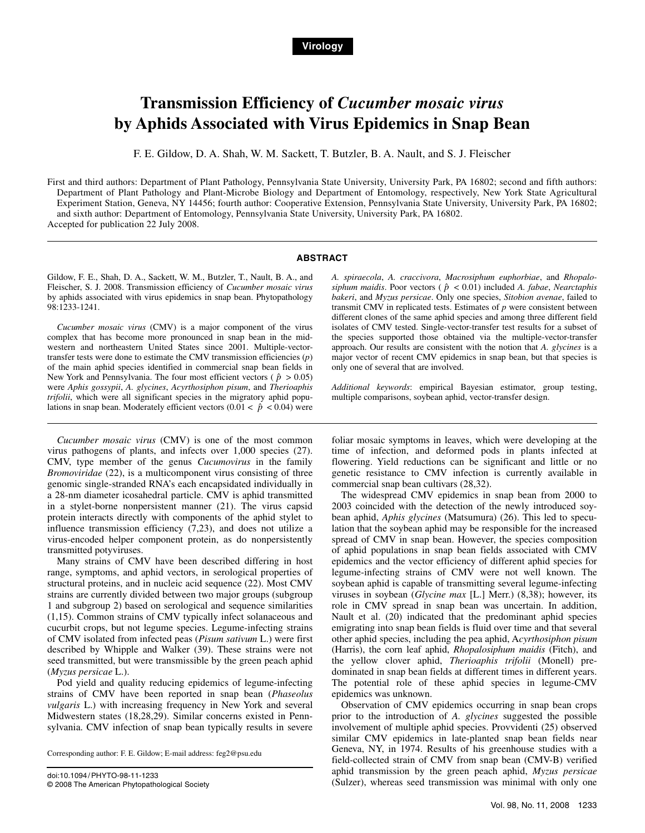# **Transmission Efficiency of** *Cucumber mosaic virus* **by Aphids Associated with Virus Epidemics in Snap Bean**

F. E. Gildow, D. A. Shah, W. M. Sackett, T. Butzler, B. A. Nault, and S. J. Fleischer

First and third authors: Department of Plant Pathology, Pennsylvania State University, University Park, PA 16802; second and fifth authors: Department of Plant Pathology and Plant-Microbe Biology and Department of Entomology, respectively, New York State Agricultural Experiment Station, Geneva, NY 14456; fourth author: Cooperative Extension, Pennsylvania State University, University Park, PA 16802; and sixth author: Department of Entomology, Pennsylvania State University, University Park, PA 16802. Accepted for publication 22 July 2008.

#### **ABSTRACT**

Gildow, F. E., Shah, D. A., Sackett, W. M., Butzler, T., Nault, B. A., and Fleischer, S. J. 2008. Transmission efficiency of *Cucumber mosaic virus* by aphids associated with virus epidemics in snap bean. Phytopathology 98:1233-1241.

*Cucumber mosaic virus* (CMV) is a major component of the virus complex that has become more pronounced in snap bean in the midwestern and northeastern United States since 2001. Multiple-vectortransfer tests were done to estimate the CMV transmission efficiencies (*p*) of the main aphid species identified in commercial snap bean fields in New York and Pennsylvania. The four most efficient vectors ( $\hat{p} > 0.05$ ) were *Aphis gossypii*, *A. glycines*, *Acyrthosiphon pisum*, and *Therioaphis trifolii*, which were all significant species in the migratory aphid populations in snap bean. Moderately efficient vectors  $(0.01 < \hat{p} < 0.04)$  were

*Cucumber mosaic virus* (CMV) is one of the most common virus pathogens of plants, and infects over 1,000 species (27). CMV, type member of the genus *Cucumovirus* in the family *Bromoviridae* (22), is a multicomponent virus consisting of three genomic single-stranded RNA's each encapsidated individually in a 28-nm diameter icosahedral particle. CMV is aphid transmitted in a stylet-borne nonpersistent manner (21). The virus capsid protein interacts directly with components of the aphid stylet to influence transmission efficiency (7,23), and does not utilize a virus-encoded helper component protein, as do nonpersistently transmitted potyviruses.

Many strains of CMV have been described differing in host range, symptoms, and aphid vectors, in serological properties of structural proteins, and in nucleic acid sequence (22). Most CMV strains are currently divided between two major groups (subgroup 1 and subgroup 2) based on serological and sequence similarities (1,15). Common strains of CMV typically infect solanaceous and cucurbit crops, but not legume species. Legume-infecting strains of CMV isolated from infected peas (*Pisum sativum* L.) were first described by Whipple and Walker (39). These strains were not seed transmitted, but were transmissible by the green peach aphid (*Myzus persicae* L.).

Pod yield and quality reducing epidemics of legume-infecting strains of CMV have been reported in snap bean (*Phaseolus vulgaris* L.) with increasing frequency in New York and several Midwestern states (18,28,29). Similar concerns existed in Pennsylvania. CMV infection of snap bean typically results in severe

Corresponding author: F. E. Gildow; E-mail address: feg2@psu.edu

*A. spiraecola*, *A. craccivora*, *Macrosiphum euphorbiae*, and *Rhopalosiphum maidis*. Poor vectors ( *p*ˆ < 0.01) included *A. fabae*, *Nearctaphis bakeri*, and *Myzus persicae*. Only one species, *Sitobion avenae*, failed to transmit CMV in replicated tests. Estimates of *p* were consistent between different clones of the same aphid species and among three different field isolates of CMV tested. Single-vector-transfer test results for a subset of the species supported those obtained via the multiple-vector-transfer approach. Our results are consistent with the notion that *A. glycines* is a major vector of recent CMV epidemics in snap bean, but that species is only one of several that are involved.

*Additional keywords*: empirical Bayesian estimator, group testing, multiple comparisons, soybean aphid, vector-transfer design.

foliar mosaic symptoms in leaves, which were developing at the time of infection, and deformed pods in plants infected at flowering. Yield reductions can be significant and little or no genetic resistance to CMV infection is currently available in commercial snap bean cultivars (28,32).

The widespread CMV epidemics in snap bean from 2000 to 2003 coincided with the detection of the newly introduced soybean aphid, *Aphis glycines* (Matsumura) (26). This led to speculation that the soybean aphid may be responsible for the increased spread of CMV in snap bean. However, the species composition of aphid populations in snap bean fields associated with CMV epidemics and the vector efficiency of different aphid species for legume-infecting strains of CMV were not well known. The soybean aphid is capable of transmitting several legume-infecting viruses in soybean (*Glycine max* [L.] Merr.) (8,38); however, its role in CMV spread in snap bean was uncertain. In addition, Nault et al. (20) indicated that the predominant aphid species emigrating into snap bean fields is fluid over time and that several other aphid species, including the pea aphid, A*cyrthosiphon pisum* (Harris), the corn leaf aphid, *Rhopalosiphum maidis* (Fitch), and the yellow clover aphid, *Therioaphis trifolii* (Monell) predominated in snap bean fields at different times in different years. The potential role of these aphid species in legume-CMV epidemics was unknown.

Observation of CMV epidemics occurring in snap bean crops prior to the introduction of *A. glycines* suggested the possible involvement of multiple aphid species. Provvidenti (25) observed similar CMV epidemics in late-planted snap bean fields near Geneva, NY, in 1974. Results of his greenhouse studies with a field-collected strain of CMV from snap bean (CMV-B) verified aphid transmission by the green peach aphid, *Myzus persicae* (Sulzer), whereas seed transmission was minimal with only one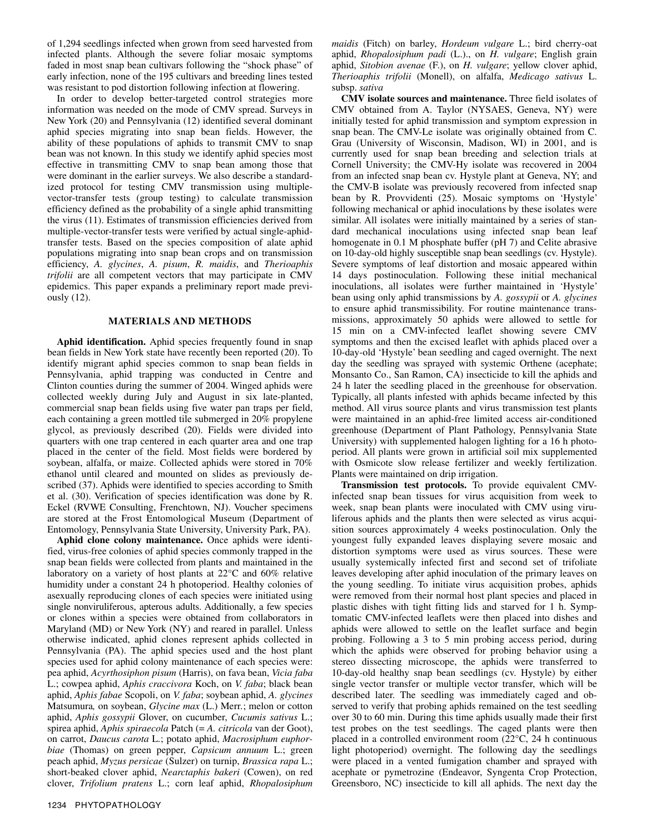of 1,294 seedlings infected when grown from seed harvested from infected plants. Although the severe foliar mosaic symptoms faded in most snap bean cultivars following the "shock phase" of early infection, none of the 195 cultivars and breeding lines tested was resistant to pod distortion following infection at flowering.

In order to develop better-targeted control strategies more information was needed on the mode of CMV spread. Surveys in New York (20) and Pennsylvania (12) identified several dominant aphid species migrating into snap bean fields. However, the ability of these populations of aphids to transmit CMV to snap bean was not known. In this study we identify aphid species most effective in transmitting CMV to snap bean among those that were dominant in the earlier surveys. We also describe a standardized protocol for testing CMV transmission using multiplevector-transfer tests (group testing) to calculate transmission efficiency defined as the probability of a single aphid transmitting the virus (11). Estimates of transmission efficiencies derived from multiple-vector-transfer tests were verified by actual single-aphidtransfer tests. Based on the species composition of alate aphid populations migrating into snap bean crops and on transmission efficiency, *A. glycines*, *A. pisum*, *R. maidis*, and *Therioaphis trifolii* are all competent vectors that may participate in CMV epidemics. This paper expands a preliminary report made previously (12).

# **MATERIALS AND METHODS**

**Aphid identification.** Aphid species frequently found in snap bean fields in New York state have recently been reported (20). To identify migrant aphid species common to snap bean fields in Pennsylvania, aphid trapping was conducted in Centre and Clinton counties during the summer of 2004. Winged aphids were collected weekly during July and August in six late-planted, commercial snap bean fields using five water pan traps per field, each containing a green mottled tile submerged in 20% propylene glycol, as previously described (20). Fields were divided into quarters with one trap centered in each quarter area and one trap placed in the center of the field. Most fields were bordered by soybean, alfalfa, or maize. Collected aphids were stored in 70% ethanol until cleared and mounted on slides as previously described (37). Aphids were identified to species according to Smith et al. (30). Verification of species identification was done by R. Eckel (RVWE Consulting, Frenchtown, NJ). Voucher specimens are stored at the Frost Entomological Museum (Department of Entomology, Pennsylvania State University, University Park, PA).

**Aphid clone colony maintenance.** Once aphids were identified, virus-free colonies of aphid species commonly trapped in the snap bean fields were collected from plants and maintained in the laboratory on a variety of host plants at 22°C and 60% relative humidity under a constant 24 h photoperiod. Healthy colonies of asexually reproducing clones of each species were initiated using single nonviruliferous, apterous adults. Additionally, a few species or clones within a species were obtained from collaborators in Maryland (MD) or New York (NY) and reared in parallel. Unless otherwise indicated, aphid clones represent aphids collected in Pennsylvania (PA). The aphid species used and the host plant species used for aphid colony maintenance of each species were: pea aphid, *Acyrthosiphon pisum* (Harris), on fava bean, *Vicia faba*  L.; cowpea aphid, *Aphis craccivora* Koch, on *V. faba*; black bean aphid, *Aphis fabae* Scopoli, on *V. faba*; soybean aphid, *A. glycines*  Matsumura*,* on soybean, *Glycine max* (L.) Merr*.*; melon or cotton aphid, *Aphis gossypii* Glover, on cucumber, *Cucumis sativus* L.; spirea aphid, *Aphis spiraecola* Patch (= *A. citricola* van der Goot), on carrot, *Daucus carota* L*.*; potato aphid, *Macrosiphum euphorbiae* (Thomas) on green pepper, *Capsicum annuum* L.; green peach aphid, *Myzus persicae* (Sulzer) on turnip, *Brassica rapa* L.; short-beaked clover aphid, *Nearctaphis bakeri* (Cowen), on red clover, *Trifolium pratens* L.; corn leaf aphid, *Rhopalosiphum* 

*maidis* (Fitch) on barley, *Hordeum vulgare* L.; bird cherry-oat aphid, *Rhopalosiphum padi* (L.)., on *H. vulgare*; English grain aphid, *Sitobion avenae* (F.), on *H. vulgare*; yellow clover aphid, *Therioaphis trifolii* (Monell), on alfalfa, *Medicago sativus* L. subsp. *sativa*

**CMV isolate sources and maintenance.** Three field isolates of CMV obtained from A. Taylor (NYSAES, Geneva, NY) were initially tested for aphid transmission and symptom expression in snap bean. The CMV-Le isolate was originally obtained from C. Grau (University of Wisconsin, Madison, WI) in 2001, and is currently used for snap bean breeding and selection trials at Cornell University; the CMV-Hy isolate was recovered in 2004 from an infected snap bean cv. Hystyle plant at Geneva, NY; and the CMV-B isolate was previously recovered from infected snap bean by R. Provvidenti (25). Mosaic symptoms on 'Hystyle' following mechanical or aphid inoculations by these isolates were similar. All isolates were initially maintained by a series of standard mechanical inoculations using infected snap bean leaf homogenate in 0.1 M phosphate buffer (pH 7) and Celite abrasive on 10-day-old highly susceptible snap bean seedlings (cv. Hystyle). Severe symptoms of leaf distortion and mosaic appeared within 14 days postinoculation. Following these initial mechanical inoculations, all isolates were further maintained in 'Hystyle' bean using only aphid transmissions by *A. gossypii* or *A. glycines* to ensure aphid transmissibility. For routine maintenance transmissions, approximately 50 aphids were allowed to settle for 15 min on a CMV-infected leaflet showing severe CMV symptoms and then the excised leaflet with aphids placed over a 10-day-old 'Hystyle' bean seedling and caged overnight. The next day the seedling was sprayed with systemic Orthene (acephate; Monsanto Co., San Ramon, CA) insecticide to kill the aphids and 24 h later the seedling placed in the greenhouse for observation. Typically, all plants infested with aphids became infected by this method. All virus source plants and virus transmission test plants were maintained in an aphid-free limited access air-conditioned greenhouse (Department of Plant Pathology, Pennsylvania State University) with supplemented halogen lighting for a 16 h photoperiod. All plants were grown in artificial soil mix supplemented with Osmicote slow release fertilizer and weekly fertilization. Plants were maintained on drip irrigation.

**Transmission test protocols.** To provide equivalent CMVinfected snap bean tissues for virus acquisition from week to week, snap bean plants were inoculated with CMV using viruliferous aphids and the plants then were selected as virus acquisition sources approximately 4 weeks postinoculation. Only the youngest fully expanded leaves displaying severe mosaic and distortion symptoms were used as virus sources. These were usually systemically infected first and second set of trifoliate leaves developing after aphid inoculation of the primary leaves on the young seedling. To initiate virus acquisition probes, aphids were removed from their normal host plant species and placed in plastic dishes with tight fitting lids and starved for 1 h. Symptomatic CMV-infected leaflets were then placed into dishes and aphids were allowed to settle on the leaflet surface and begin probing. Following a 3 to 5 min probing access period, during which the aphids were observed for probing behavior using a stereo dissecting microscope, the aphids were transferred to 10-day-old healthy snap bean seedlings (cv. Hystyle) by either single vector transfer or multiple vector transfer, which will be described later. The seedling was immediately caged and observed to verify that probing aphids remained on the test seedling over 30 to 60 min. During this time aphids usually made their first test probes on the test seedlings. The caged plants were then placed in a controlled environment room (22°C, 24 h continuous light photoperiod) overnight. The following day the seedlings were placed in a vented fumigation chamber and sprayed with acephate or pymetrozine (Endeavor, Syngenta Crop Protection, Greensboro, NC) insecticide to kill all aphids. The next day the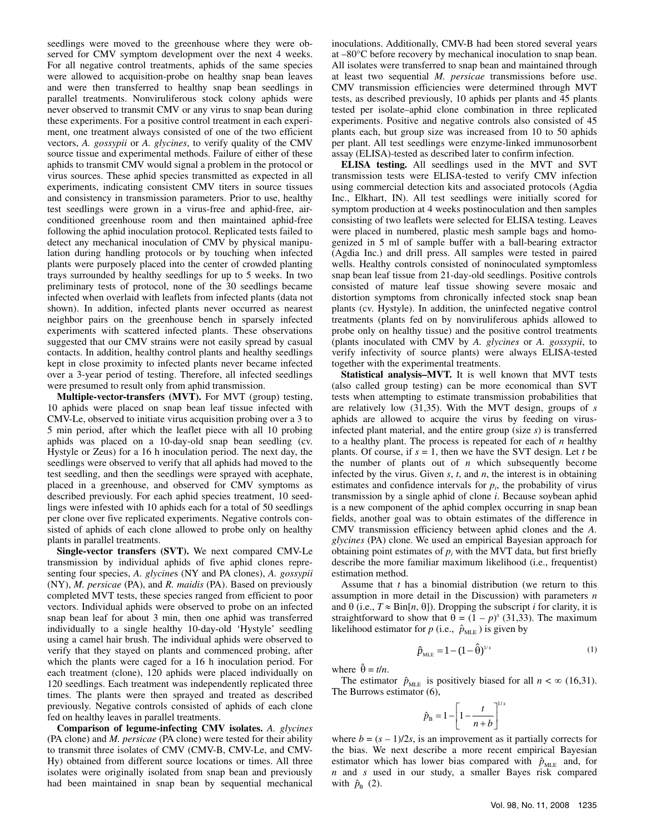seedlings were moved to the greenhouse where they were observed for CMV symptom development over the next 4 weeks. For all negative control treatments, aphids of the same species were allowed to acquisition-probe on healthy snap bean leaves and were then transferred to healthy snap bean seedlings in parallel treatments. Nonviruliferous stock colony aphids were never observed to transmit CMV or any virus to snap bean during these experiments. For a positive control treatment in each experiment, one treatment always consisted of one of the two efficient vectors, *A. gossypii* or *A. glycines*, to verify quality of the CMV source tissue and experimental methods. Failure of either of these aphids to transmit CMV would signal a problem in the protocol or virus sources. These aphid species transmitted as expected in all experiments, indicating consistent CMV titers in source tissues and consistency in transmission parameters. Prior to use, healthy test seedlings were grown in a virus-free and aphid-free, airconditioned greenhouse room and then maintained aphid-free following the aphid inoculation protocol. Replicated tests failed to detect any mechanical inoculation of CMV by physical manipulation during handling protocols or by touching when infected plants were purposely placed into the center of crowded planting trays surrounded by healthy seedlings for up to 5 weeks. In two preliminary tests of protocol, none of the 30 seedlings became infected when overlaid with leaflets from infected plants (data not shown). In addition, infected plants never occurred as nearest neighbor pairs on the greenhouse bench in sparsely infected experiments with scattered infected plants. These observations suggested that our CMV strains were not easily spread by casual contacts. In addition, healthy control plants and healthy seedlings kept in close proximity to infected plants never became infected over a 3-year period of testing. Therefore, all infected seedlings were presumed to result only from aphid transmission.

**Multiple-vector-transfers (MVT).** For MVT (group) testing, 10 aphids were placed on snap bean leaf tissue infected with CMV-Le, observed to initiate virus acquisition probing over a 3 to 5 min period, after which the leaflet piece with all 10 probing aphids was placed on a 10-day-old snap bean seedling (cv. Hystyle or Zeus) for a 16 h inoculation period. The next day, the seedlings were observed to verify that all aphids had moved to the test seedling, and then the seedlings were sprayed with acephate, placed in a greenhouse, and observed for CMV symptoms as described previously. For each aphid species treatment, 10 seedlings were infested with 10 aphids each for a total of 50 seedlings per clone over five replicated experiments. Negative controls consisted of aphids of each clone allowed to probe only on healthy plants in parallel treatments.

**Single-vector transfers (SVT).** We next compared CMV-Le transmission by individual aphids of five aphid clones representing four species, *A. glycine*s (NY and PA clones), *A. gossypii* (NY), *M. persicae* (PA), and *R. maidis* (PA). Based on previously completed MVT tests, these species ranged from efficient to poor vectors. Individual aphids were observed to probe on an infected snap bean leaf for about 3 min, then one aphid was transferred individually to a single healthy 10-day-old 'Hystyle' seedling using a camel hair brush. The individual aphids were observed to verify that they stayed on plants and commenced probing, after which the plants were caged for a 16 h inoculation period. For each treatment (clone), 120 aphids were placed individually on 120 seedlings. Each treatment was independently replicated three times. The plants were then sprayed and treated as described previously. Negative controls consisted of aphids of each clone fed on healthy leaves in parallel treatments.

**Comparison of legume-infecting CMV isolates.** *A. glycines* (PA clone) and *M. persicae* (PA clone) were tested for their ability to transmit three isolates of CMV (CMV-B, CMV-Le, and CMV-Hy) obtained from different source locations or times. All three isolates were originally isolated from snap bean and previously had been maintained in snap bean by sequential mechanical inoculations. Additionally, CMV-B had been stored several years at –80°C before recovery by mechanical inoculation to snap bean. All isolates were transferred to snap bean and maintained through at least two sequential *M. persicae* transmissions before use. CMV transmission efficiencies were determined through MVT tests, as described previously, 10 aphids per plants and 45 plants tested per isolate–aphid clone combination in three replicated experiments. Positive and negative controls also consisted of 45 plants each, but group size was increased from 10 to 50 aphids per plant. All test seedlings were enzyme-linked immunosorbent assay (ELISA)-tested as described later to confirm infection.

**ELISA testing.** All seedlings used in the MVT and SVT transmission tests were ELISA-tested to verify CMV infection using commercial detection kits and associated protocols (Agdia Inc., Elkhart, IN). All test seedlings were initially scored for symptom production at 4 weeks postinoculation and then samples consisting of two leaflets were selected for ELISA testing. Leaves were placed in numbered, plastic mesh sample bags and homogenized in 5 ml of sample buffer with a ball-bearing extractor (Agdia Inc.) and drill press. All samples were tested in paired wells. Healthy controls consisted of noninoculated symptomless snap bean leaf tissue from 21-day-old seedlings. Positive controls consisted of mature leaf tissue showing severe mosaic and distortion symptoms from chronically infected stock snap bean plants (cv. Hystyle). In addition, the uninfected negative control treatments (plants fed on by nonviruliferous aphids allowed to probe only on healthy tissue) and the positive control treatments (plants inoculated with CMV by *A. glycines* or *A. gossypii*, to verify infectivity of source plants) were always ELISA-tested together with the experimental treatments.

**Statistical analysis–MVT.** It is well known that MVT tests (also called group testing) can be more economical than SVT tests when attempting to estimate transmission probabilities that are relatively low (31,35). With the MVT design, groups of *s* aphids are allowed to acquire the virus by feeding on virusinfected plant material, and the entire group (size *s*) is transferred to a healthy plant. The process is repeated for each of *n* healthy plants. Of course, if  $s = 1$ , then we have the SVT design. Let *t* be the number of plants out of *n* which subsequently become infected by the virus. Given *s*, *t*, and *n*, the interest is in obtaining estimates and confidence intervals for  $p_i$ , the probability of virus transmission by a single aphid of clone *i*. Because soybean aphid is a new component of the aphid complex occurring in snap bean fields, another goal was to obtain estimates of the difference in CMV transmission efficiency between aphid clones and the *A. glycines* (PA) clone. We used an empirical Bayesian approach for obtaining point estimates of  $p_i$  with the MVT data, but first briefly describe the more familiar maximum likelihood (i.e., frequentist) estimation method.

Assume that *t* has a binomial distribution (we return to this assumption in more detail in the Discussion) with parameters *n* and  $\theta$  (i.e.,  $T \approx \text{Bin}[n, \theta]$ ). Dropping the subscript *i* for clarity, it is straightforward to show that  $\theta = (1 - p)^s$  (31,33). The maximum likelihood estimator for *p* (i.e.,  $\hat{p}_{MLE}$ ) is given by

$$
\hat{p}_{\text{MLE}} = 1 - (1 - \hat{\theta})^{1/s} \tag{1}
$$

*s*

where  $\hat{\theta} = t/n$ .

The estimator  $\hat{p}_{MLE}$  is positively biased for all  $n < \infty$  (16,31). The Burrows estimator (6),

$$
\hat{p}_{\rm B} = 1 - \left[1 - \frac{t}{n+b}\right]^{1/2}
$$

where  $b = (s - 1)/2s$ , is an improvement as it partially corrects for the bias. We next describe a more recent empirical Bayesian estimator which has lower bias compared with  $\hat{p}_{MLE}$  and, for *n* and *s* used in our study, a smaller Bayes risk compared with  $\hat{p}_\text{B}$  (2).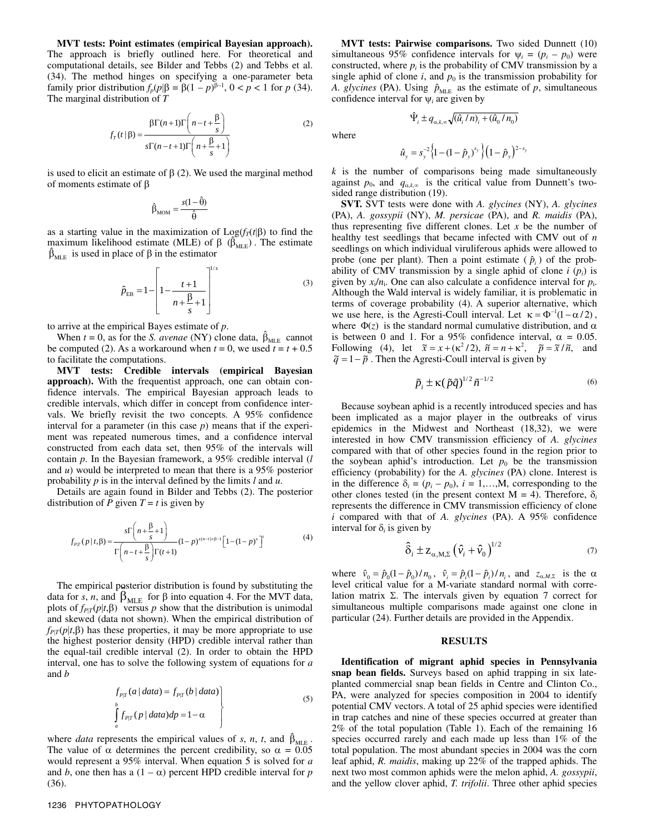**MVT tests: Point estimates (empirical Bayesian approach).** The approach is briefly outlined here. For theoretical and computational details, see Bilder and Tebbs (2) and Tebbs et al. (34). The method hinges on specifying a one-parameter beta family prior distribution  $f_p(p|β = β(1 - p)^{β-1}$ , 0 < *p* < 1 for *p* (34). The marginal distribution of *T*

$$
f_T(t \mid \beta) = \frac{\beta \Gamma(n+1) \Gamma\left(n-t+\frac{\beta}{s}\right)}{s \Gamma(n-t+1) \Gamma\left(n+\frac{\beta}{s}+1\right)}
$$
(2)

is used to elicit an estimate of  $β$  (2). We used the marginal method of moments estimate of β

$$
\hat{\beta}_{\text{MOM}} = \frac{s(1 - \hat{\theta})}{\hat{\theta}}
$$

as a starting value in the maximization of  $\text{Log}(f_T(t|\beta))$  to find the maximum likelihood estimate (MLE) of  $\beta$  ( $\beta_{MLE}$ ). The estimate  $β<sub>MLE</sub>$  is used in place of β in the estimator

$$
\hat{p}_{EB} = 1 - \left[ 1 - \frac{t+1}{n + \frac{\beta}{s} + 1} \right]^{1/s}
$$
\n(3)

to arrive at the empirical Bayes estimate of *p*.

When  $t = 0$ , as for the *S. avenae* (NY) clone data,  $\hat{\beta}_{MLE}$  cannot be computed (2). As a workaround when  $t = 0$ , we used  $t = t + 0.5$ to facilitate the computations.

**MVT tests: Credible intervals (empirical Bayesian approach).** With the frequentist approach, one can obtain confidence intervals. The empirical Bayesian approach leads to credible intervals, which differ in concept from confidence intervals. We briefly revisit the two concepts. A 95% confidence interval for a parameter (in this case *p*) means that if the experiment was repeated numerous times, and a confidence interval constructed from each data set, then 95% of the intervals will contain *p*. In the Bayesian framework, a 95% credible interval (*l* and *u*) would be interpreted to mean that there is a 95% posterior probability *p* is in the interval defined by the limits *l* and *u*.

Details are again found in Bilder and Tebbs (2). The posterior distribution of *P* given  $T = t$  is given by

$$
f_{PT}(p \mid t, \beta) = \frac{s\Gamma\left(n + \frac{\beta}{s} + 1\right)}{\Gamma\left(n - t + \frac{\beta}{s}\right)\Gamma(t + 1)} (1 - p)^{s(n - t) + \beta - 1} \left[1 - (1 - p)^s\right]'
$$
(4)

The empirical posterior distribution is found by substituting the The empirical posterior distribution is found by substituting the data for *s*, *n*, and  $\beta_{MLE}$  for  $\beta$  into equation 4. For the MVT data, plots of  $f_{PT}(p|t,\beta)$  versus *p* show that the distribution is unimodal and skewed (data not shown). When the empirical distribution of  $f_{PT}(p|t,\beta)$  has these properties, it may be more appropriate to use the highest posterior density (HPD) credible interval rather than the equal-tail credible interval (2). In order to obtain the HPD interval, one has to solve the following system of equations for *a* and *b*

$$
f_{P|T}(a | data) = f_{P|T}(b | data)
$$
  
\n
$$
\int_{a}^{b} f_{P|T}(p | data) dp = 1 - \alpha
$$
\n(5)

where *data* represents the empirical values of *s*, *n*, *t*, and  $\hat{\beta}_{MLE}$ . The value of  $\alpha$  determines the percent credibility, so  $\alpha = 0.05$ would represent a 95% interval. When equation 5 is solved for *a* and *b*, one then has a  $(1 - \alpha)$  percent HPD credible interval for *p* (36).

**MVT tests: Pairwise comparisons.** Two sided Dunnett (10) simultaneous 95% confidence intervals for  $\psi_i = (p_i - p_0)$  were constructed, where  $p_i$  is the probability of CMV transmission by a single aphid of clone  $i$ , and  $p_0$  is the transmission probability for *A. glycines* (PA). Using  $\hat{p}_{\text{MLE}}$  as the estimate of *p*, simultaneous confidence interval for  $\psi_i$  are given by

where

$$
\hat{u}_y = s_y^{-2} \left\{ 1 - (1 - \hat{p}_y)^{s_y} \right\} \left( 1 - \hat{p}_y \right)^{2 - s_y}
$$

 $\hat{\Psi}_i \pm q_{\alpha k \infty} \sqrt{(\hat{u}_i / n)_{i} + (\hat{u}_0 / n_0)}$ 

*k* is the number of comparisons being made simultaneously against  $p_0$ , and  $q_{\alpha,k,\infty}$  is the critical value from Dunnett's twosided range distribution (19).

**SVT.** SVT tests were done with *A. glycines* (NY), *A. glycines* (PA), *A. gossypii* (NY), *M. persicae* (PA), and *R. maidis* (PA), thus representing five different clones. Let *x* be the number of healthy test seedlings that became infected with CMV out of *n* seedlings on which individual viruliferous aphids were allowed to probe (one per plant). Then a point estimate  $(\hat{p}_i)$  of the probability of CMV transmission by a single aphid of clone  $i$  ( $p_i$ ) is given by  $x_i/n_i$ . One can also calculate a confidence interval for  $p_i$ . Although the Wald interval is widely familiar, it is problematic in terms of coverage probability (4). A superior alternative, which we use here, is the Agresti-Coull interval. Let  $\kappa = \Phi^{-1}(1 - \alpha/2)$ , where  $\Phi(z)$  is the standard normal cumulative distribution, and  $\alpha$ is between 0 and 1. For a 95% confidence interval,  $\alpha = 0.05$ . Following (4), let  $\tilde{x} = x + (\kappa^2/2), \tilde{n} = n + \kappa^2, \tilde{p} = \tilde{x}/\tilde{n}$ , and  $\tilde{q} = 1 - \tilde{p}$ . Then the Agresti-Coull interval is given by

$$
\tilde{p}_i \pm \kappa (\tilde{p}\tilde{q})^{1/2} \tilde{n}^{-1/2} \tag{6}
$$

Because soybean aphid is a recently introduced species and has been implicated as a major player in the outbreaks of virus epidemics in the Midwest and Northeast (18,32), we were interested in how CMV transmission efficiency of *A. glycines* compared with that of other species found in the region prior to the soybean aphid's introduction. Let  $p_0$  be the transmission efficiency (probability) for the *A. glycines* (PA) clone. Interest is in the difference  $\delta_i = (p_i - p_0), i = 1,...,M$ , corresponding to the other clones tested (in the present context  $M = 4$ ). Therefore,  $\delta_i$ represents the difference in CMV transmission efficiency of clone *i* compared with that of *A. glycines* (PA). A 95% confidence interval for  $\delta_i$  is given by

$$
\hat{\delta}_i \pm z_{\alpha, M, \Sigma} \left(\hat{v}_i + \hat{v}_0\right)^{1/2} \tag{7}
$$

where  $\hat{v}_0 = \hat{p}_0 (1 - \hat{p}_0) / n_0$ ,  $\hat{v}_i = \hat{p}_i (1 - \hat{p}_i) / n_i$ , and  $z_{\alpha, M, \Sigma}$  is the  $\alpha$ level critical value for a M-variate standard normal with correlation matrix Σ. The intervals given by equation 7 correct for simultaneous multiple comparisons made against one clone in particular (24). Further details are provided in the Appendix.

# **RESULTS**

**Identification of migrant aphid species in Pennsylvania snap bean fields.** Surveys based on aphid trapping in six lateplanted commercial snap bean fields in Centre and Clinton Co., PA, were analyzed for species composition in 2004 to identify potential CMV vectors. A total of 25 aphid species were identified in trap catches and nine of these species occurred at greater than 2% of the total population (Table 1). Each of the remaining 16 species occurred rarely and each made up less than 1% of the total population. The most abundant species in 2004 was the corn leaf aphid, *R. maidis*, making up 22% of the trapped aphids. The next two most common aphids were the melon aphid, *A. gossypii*, and the yellow clover aphid, *T. trifolii*. Three other aphid species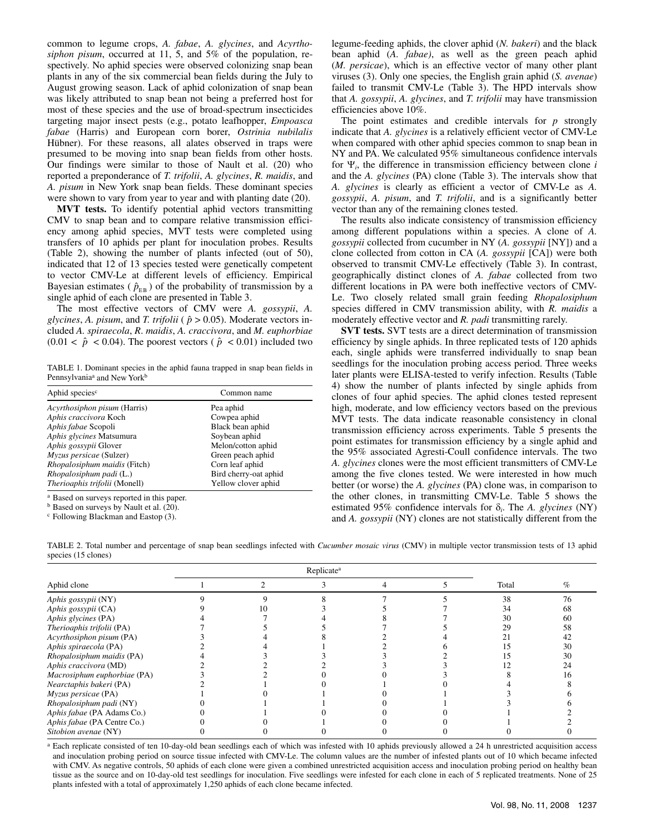common to legume crops, *A. fabae*, *A. glycines*, and *Acyrthosiphon pisum*, occurred at 11, 5, and 5% of the population, respectively. No aphid species were observed colonizing snap bean plants in any of the six commercial bean fields during the July to August growing season. Lack of aphid colonization of snap bean was likely attributed to snap bean not being a preferred host for most of these species and the use of broad-spectrum insecticides targeting major insect pests (e.g., potato leafhopper, *Empoasca fabae* (Harris) and European corn borer, *Ostrinia nubilalis* Hübner). For these reasons, all alates observed in traps were presumed to be moving into snap bean fields from other hosts. Our findings were similar to those of Nault et al. (20) who reported a preponderance of *T. trifolii*, *A. glycines*, *R. maidis*, and *A. pisum* in New York snap bean fields. These dominant species were shown to vary from year to year and with planting date (20).

**MVT tests.** To identify potential aphid vectors transmitting CMV to snap bean and to compare relative transmission efficiency among aphid species, MVT tests were completed using transfers of 10 aphids per plant for inoculation probes. Results (Table 2), showing the number of plants infected (out of 50), indicated that 12 of 13 species tested were genetically competent to vector CMV-Le at different levels of efficiency. Empirical Bayesian estimates ( $\hat{p}_{EB}$ ) of the probability of transmission by a single aphid of each clone are presented in Table 3.

The most effective vectors of CMV were *A. gossypii*, *A. glycines*, *A. pisum*, and *T. trifolii* ( $\hat{p} > 0.05$ ). Moderate vectors included *A. spiraecola*, *R*. *maidis*, *A. craccivora*, and *M. euphorbiae*   $(0.01 < \hat{p} < 0.04)$ . The poorest vectors ( $\hat{p} < 0.01$ ) included two

TABLE 1. Dominant species in the aphid fauna trapped in snap bean fields in Pennsylvania<sup>a</sup> and New York<sup>b</sup>

| Aphid species <sup>c</sup>                           | Common name           |  |  |  |
|------------------------------------------------------|-----------------------|--|--|--|
| Acyrthosiphon pisum (Harris)                         | Pea aphid             |  |  |  |
| Aphis craccivora Koch                                | Cowpea aphid          |  |  |  |
| Aphis fabae Scopoli                                  | Black bean aphid      |  |  |  |
| Aphis glycines Matsumura                             | Soybean aphid         |  |  |  |
| Aphis gossypii Glover                                | Melon/cotton aphid    |  |  |  |
| Myzus persicae (Sulzer)                              | Green peach aphid     |  |  |  |
| Rhopalosiphum maidis (Fitch)                         | Corn leaf aphid       |  |  |  |
| Rhopalosiphum padi (L.)                              | Bird cherry-oat aphid |  |  |  |
| Therioaphis trifolii (Monell)                        | Yellow clover aphid   |  |  |  |
| $\sim$ $\sim$ $\sim$ $\sim$<br>$\sim$ $\blacksquare$ |                       |  |  |  |

a Based on surveys reported in this paper.

b Based on surveys by Nault et al. (20).

c Following Blackman and Eastop (3).

legume-feeding aphids, the clover aphid (*N. bakeri*) and the black bean aphid (*A. fabae)*, as well as the green peach aphid (*M. persicae*), which is an effective vector of many other plant viruses (3). Only one species, the English grain aphid (*S. avenae*) failed to transmit CMV-Le (Table 3). The HPD intervals show that *A. gossypii*, *A. glycines*, and *T. trifolii* may have transmission efficiencies above 10%.

The point estimates and credible intervals for *p* strongly indicate that *A. glycines* is a relatively efficient vector of CMV-Le when compared with other aphid species common to snap bean in NY and PA. We calculated 95% simultaneous confidence intervals for Ψ*i*, the difference in transmission efficiency between clone *i* and the *A. glycines* (PA) clone (Table 3). The intervals show that *A. glycines* is clearly as efficient a vector of CMV-Le as *A. gossypii*, *A. pisum*, and *T. trifolii*, and is a significantly better vector than any of the remaining clones tested.

The results also indicate consistency of transmission efficiency among different populations within a species. A clone of *A. gossypii* collected from cucumber in NY (*A. gossypii* [NY]) and a clone collected from cotton in CA (*A. gossypii* [CA]) were both observed to transmit CMV-Le effectively (Table 3). In contrast, geographically distinct clones of *A. fabae* collected from two different locations in PA were both ineffective vectors of CMV-Le. Two closely related small grain feeding *Rhopalosiphum* species differed in CMV transmission ability, with *R. maidis* a moderately effective vector and *R. padi* transmitting rarely.

**SVT tests.** SVT tests are a direct determination of transmission efficiency by single aphids. In three replicated tests of 120 aphids each, single aphids were transferred individually to snap bean seedlings for the inoculation probing access period. Three weeks later plants were ELISA-tested to verify infection. Results (Table 4) show the number of plants infected by single aphids from clones of four aphid species. The aphid clones tested represent high, moderate, and low efficiency vectors based on the previous MVT tests. The data indicate reasonable consistency in clonal transmission efficiency across experiments. Table 5 presents the point estimates for transmission efficiency by a single aphid and the 95% associated Agresti-Coull confidence intervals. The two *A. glycines* clones were the most efficient transmitters of CMV-Le among the five clones tested. We were interested in how much better (or worse) the *A. glycines* (PA) clone was, in comparison to the other clones, in transmitting CMV-Le. Table 5 shows the estimated 95% confidence intervals for δ*i*. The *A. glycines* (NY) and *A. gossypii* (NY) clones are not statistically different from the

TABLE 2. Total number and percentage of snap bean seedlings infected with *Cucumber mosaic virus* (CMV) in multiple vector transmission tests of 13 aphid species (15 clones)

| Aphid clone                 |  |  |  | Total | $\%$ |
|-----------------------------|--|--|--|-------|------|
| Aphis gossypii (NY)         |  |  |  | 38    | 76   |
| Aphis gossypii (CA)         |  |  |  | 34    | 68   |
| Aphis glycines (PA)         |  |  |  | 30    | 60   |
| Therioaphis trifolii (PA)   |  |  |  | 29    | 58   |
| Acyrthosiphon pisum (PA)    |  |  |  |       | 42   |
| Aphis spiraecola (PA)       |  |  |  |       | 30   |
| Rhopalosiphum maidis (PA)   |  |  |  |       | 30   |
| Aphis craccivora (MD)       |  |  |  |       | 24   |
| Macrosiphum euphorbiae (PA) |  |  |  |       |      |
| Nearctaphis bakeri (PA)     |  |  |  |       |      |
| Myzus persicae (PA)         |  |  |  |       |      |
| Rhopalosiphum padi (NY)     |  |  |  |       |      |
| Aphis fabae (PA Adams Co.)  |  |  |  |       |      |
| Aphis fabae (PA Centre Co.) |  |  |  |       |      |
| Sitobion avenae (NY)        |  |  |  |       |      |

<sup>a</sup> Each replicate consisted of ten 10-day-old bean seedlings each of which was infested with 10 aphids previously allowed a 24 h unrestricted acquisition access and inoculation probing period on source tissue infected with CMV-Le. The column values are the number of infested plants out of 10 which became infected with CMV. As negative controls, 50 aphids of each clone were given a combined unrestricted acquisition access and inoculation probing period on healthy bean tissue as the source and on 10-day-old test seedlings for inoculation. Five seedlings were infested for each clone in each of 5 replicated treatments. None of 25 plants infested with a total of approximately 1,250 aphids of each clone became infected.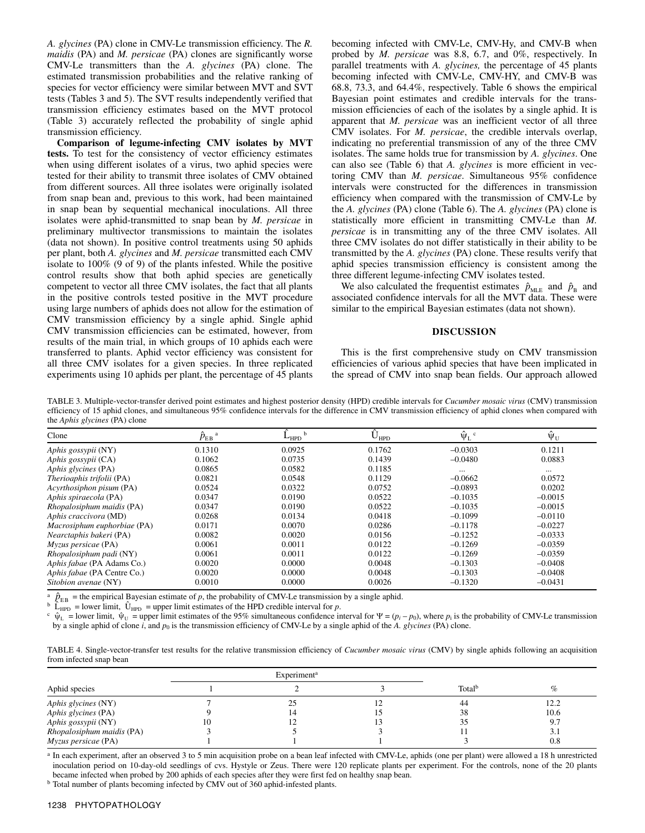*A. glycines* (PA) clone in CMV-Le transmission efficiency. The *R. maidis* (PA) and *M. persicae* (PA) clones are significantly worse CMV-Le transmitters than the *A. glycines* (PA) clone. The estimated transmission probabilities and the relative ranking of species for vector efficiency were similar between MVT and SVT tests (Tables 3 and 5). The SVT results independently verified that transmission efficiency estimates based on the MVT protocol (Table 3) accurately reflected the probability of single aphid transmission efficiency.

**Comparison of legume-infecting CMV isolates by MVT tests.** To test for the consistency of vector efficiency estimates when using different isolates of a virus, two aphid species were tested for their ability to transmit three isolates of CMV obtained from different sources. All three isolates were originally isolated from snap bean and, previous to this work, had been maintained in snap bean by sequential mechanical inoculations. All three isolates were aphid-transmitted to snap bean by *M. persicae* in preliminary multivector transmissions to maintain the isolates (data not shown). In positive control treatments using 50 aphids per plant, both *A. glycines* and *M. persicae* transmitted each CMV isolate to 100% (9 of 9) of the plants infested. While the positive control results show that both aphid species are genetically competent to vector all three CMV isolates, the fact that all plants in the positive controls tested positive in the MVT procedure using large numbers of aphids does not allow for the estimation of CMV transmission efficiency by a single aphid. Single aphid CMV transmission efficiencies can be estimated, however, from results of the main trial, in which groups of 10 aphids each were transferred to plants. Aphid vector efficiency was consistent for all three CMV isolates for a given species. In three replicated experiments using 10 aphids per plant, the percentage of 45 plants becoming infected with CMV-Le, CMV-Hy, and CMV-B when probed by *M. persicae* was 8.8, 6.7, and 0%, respectively. In parallel treatments with *A. glycines,* the percentage of 45 plants becoming infected with CMV-Le, CMV-HY, and CMV-B was 68.8, 73.3, and 64.4%, respectively. Table 6 shows the empirical Bayesian point estimates and credible intervals for the transmission efficiencies of each of the isolates by a single aphid. It is apparent that *M. persicae* was an inefficient vector of all three CMV isolates. For *M. persicae*, the credible intervals overlap, indicating no preferential transmission of any of the three CMV isolates. The same holds true for transmission by *A. glycines*. One can also see (Table 6) that *A. glycines* is more efficient in vectoring CMV than *M. persicae*. Simultaneous 95% confidence intervals were constructed for the differences in transmission efficiency when compared with the transmission of CMV-Le by the *A. glycines* (PA) clone (Table 6). The *A. glycines* (PA) clone is statistically more efficient in transmitting CMV-Le than *M. persicae* is in transmitting any of the three CMV isolates. All three CMV isolates do not differ statistically in their ability to be transmitted by the *A. glycines* (PA) clone. These results verify that aphid species transmission efficiency is consistent among the three different legume-infecting CMV isolates tested.

We also calculated the frequentist estimates  $\hat{p}_{MLE}$  and  $\hat{p}_{B}$  and associated confidence intervals for all the MVT data. These were similar to the empirical Bayesian estimates (data not shown).

## **DISCUSSION**

This is the first comprehensive study on CMV transmission efficiencies of various aphid species that have been implicated in the spread of CMV into snap bean fields. Our approach allowed

TABLE 3. Multiple-vector-transfer derived point estimates and highest posterior density (HPD) credible intervals for *Cucumber mosaic virus* (CMV) transmission efficiency of 15 aphid clones, and simultaneous 95% confidence intervals for the difference in CMV transmission efficiency of aphid clones when compared with the *Aphis glycines* (PA) clone

| Clone                       | $\ddot{p}_{\texttt{EB}}$ | h<br>$L_{\rm HPD}$ | HPD    | $\hat{\Psi}_{\rm L}$<br>$\mathbf c$ | $\hat{\Psi}_{\text{U}}$ |
|-----------------------------|--------------------------|--------------------|--------|-------------------------------------|-------------------------|
| Aphis gossypii (NY)         | 0.1310                   | 0.0925             | 0.1762 | $-0.0303$                           | 0.1211                  |
| Aphis gossypii (CA)         | 0.1062                   | 0.0735             | 0.1439 | $-0.0480$                           | 0.0883                  |
| Aphis glycines (PA)         | 0.0865                   | 0.0582             | 0.1185 | $\cdots$                            | $\cdots$                |
| Therioaphis trifolii (PA)   | 0.0821                   | 0.0548             | 0.1129 | $-0.0662$                           | 0.0572                  |
| Acyrthosiphon pisum (PA)    | 0.0524                   | 0.0322             | 0.0752 | $-0.0893$                           | 0.0202                  |
| Aphis spiraecola (PA)       | 0.0347                   | 0.0190             | 0.0522 | $-0.1035$                           | $-0.0015$               |
| Rhopalosiphum maidis (PA)   | 0.0347                   | 0.0190             | 0.0522 | $-0.1035$                           | $-0.0015$               |
| Aphis craccivora (MD)       | 0.0268                   | 0.0134             | 0.0418 | $-0.1099$                           | $-0.0110$               |
| Macrosiphum euphorbiae (PA) | 0.0171                   | 0.0070             | 0.0286 | $-0.1178$                           | $-0.0227$               |
| Nearctaphis bakeri (PA)     | 0.0082                   | 0.0020             | 0.0156 | $-0.1252$                           | $-0.0333$               |
| $Myzus$ persicae (PA)       | 0.0061                   | 0.0011             | 0.0122 | $-0.1269$                           | $-0.0359$               |
| Rhopalosiphum padi (NY)     | 0.0061                   | 0.0011             | 0.0122 | $-0.1269$                           | $-0.0359$               |
| Aphis fabae (PA Adams Co.)  | 0.0020                   | 0.0000             | 0.0048 | $-0.1303$                           | $-0.0408$               |
| Aphis fabae (PA Centre Co.) | 0.0020                   | 0.0000             | 0.0048 | $-0.1303$                           | $-0.0408$               |
| Sitobion avenae (NY)        | 0.0010                   | 0.0000             | 0.0026 | $-0.1320$                           | $-0.0431$               |

<sup>a</sup>  $\hat{p}_{EB}$  = the empirical Bayesian estimate of p, the probability of CMV-Le transmission by a single aphid.<br><sup>b</sup>  $\hat{L}_{HPD}$  = lower limit,  $\hat{U}_{HPD}$  = upper limit estimates of the HPD credible interval for p.<br><sup>c</sup>  $\hat{\$ by a single aphid of clone *i*, and  $p_0$  is the transmission efficiency of CMV-Le by a single aphid of the *A. glycines* (PA) clone.

TABLE 4. Single-vector-transfer test results for the relative transmission efficiency of *Cucumber mosaic virus* (CMV) by single aphids following an acquisition from infected snap bean

|                           | Experiment <sup>a</sup> |  |                    |      |
|---------------------------|-------------------------|--|--------------------|------|
| Aphid species             |                         |  | Total <sup>b</sup> |      |
| Aphis glycines (NY)       |                         |  | 44                 | 12.2 |
| Aphis glycines (PA)       |                         |  | 38                 | 10.6 |
| Aphis gossypii (NY)       |                         |  | 35                 | 9.7  |
| Rhopalosiphum maidis (PA) |                         |  |                    | 3.1  |
| $Myzus$ persicae (PA)     |                         |  |                    | 0.8  |

<sup>a</sup> In each experiment, after an observed 3 to 5 min acquisition probe on a bean leaf infected with CMV-Le, aphids (one per plant) were allowed a 18 h unrestricted inoculation period on 10-day-old seedlings of cvs. Hystyle or Zeus. There were 120 replicate plants per experiment. For the controls, none of the 20 plants became infected when probed by 200 aphids of each species after they were first fed on healthy snap bean. b Total number of plants becoming infected by CMV out of 360 aphid-infested plants.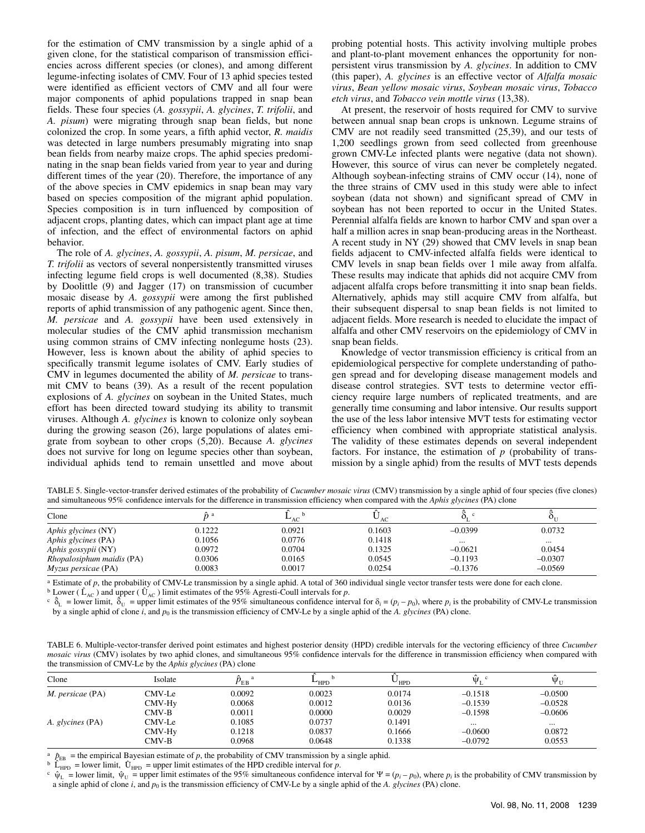for the estimation of CMV transmission by a single aphid of a given clone, for the statistical comparison of transmission efficiencies across different species (or clones), and among different legume-infecting isolates of CMV. Four of 13 aphid species tested were identified as efficient vectors of CMV and all four were major components of aphid populations trapped in snap bean fields. These four species (*A. gossypii*, *A. glycines*, *T. trifolii*, and *A. pisum*) were migrating through snap bean fields, but none colonized the crop. In some years, a fifth aphid vector, *R. maidis* was detected in large numbers presumably migrating into snap bean fields from nearby maize crops. The aphid species predominating in the snap bean fields varied from year to year and during different times of the year (20). Therefore, the importance of any of the above species in CMV epidemics in snap bean may vary based on species composition of the migrant aphid population. Species composition is in turn influenced by composition of adjacent crops, planting dates, which can impact plant age at time of infection, and the effect of environmental factors on aphid behavior.

The role of *A. glycines*, *A. gossypii*, *A. pisum*, *M. persicae*, and *T. trifolii* as vectors of several nonpersistently transmitted viruses infecting legume field crops is well documented (8,38). Studies by Doolittle (9) and Jagger (17) on transmission of cucumber mosaic disease by *A. gossypii* were among the first published reports of aphid transmission of any pathogenic agent. Since then, *M. persicae* and *A. gossypii* have been used extensively in molecular studies of the CMV aphid transmission mechanism using common strains of CMV infecting nonlegume hosts (23). However, less is known about the ability of aphid species to specifically transmit legume isolates of CMV. Early studies of CMV in legumes documented the ability of *M. persicae* to transmit CMV to beans (39). As a result of the recent population explosions of *A. glycines* on soybean in the United States, much effort has been directed toward studying its ability to transmit viruses. Although *A. glycines* is known to colonize only soybean during the growing season (26), large populations of alates emigrate from soybean to other crops (5,20). Because *A. glycines* does not survive for long on legume species other than soybean, individual aphids tend to remain unsettled and move about

probing potential hosts. This activity involving multiple probes and plant-to-plant movement enhances the opportunity for nonpersistent virus transmission by *A. glycines*. In addition to CMV (this paper), *A. glycines* is an effective vector of *Alfalfa mosaic virus*, *Bean yellow mosaic virus*, *Soybean mosaic virus*, *Tobacco etch virus*, and *Tobacco vein mottle virus* (13,38).

At present, the reservoir of hosts required for CMV to survive between annual snap bean crops is unknown. Legume strains of CMV are not readily seed transmitted (25,39), and our tests of 1,200 seedlings grown from seed collected from greenhouse grown CMV-Le infected plants were negative (data not shown). However, this source of virus can never be completely negated. Although soybean-infecting strains of CMV occur (14), none of the three strains of CMV used in this study were able to infect soybean (data not shown) and significant spread of CMV in soybean has not been reported to occur in the United States. Perennial alfalfa fields are known to harbor CMV and span over a half a million acres in snap bean-producing areas in the Northeast. A recent study in NY (29) showed that CMV levels in snap bean fields adjacent to CMV-infected alfalfa fields were identical to CMV levels in snap bean fields over 1 mile away from alfalfa. These results may indicate that aphids did not acquire CMV from adjacent alfalfa crops before transmitting it into snap bean fields. Alternatively, aphids may still acquire CMV from alfalfa, but their subsequent dispersal to snap bean fields is not limited to adjacent fields. More research is needed to elucidate the impact of alfalfa and other CMV reservoirs on the epidemiology of CMV in snap bean fields.

Knowledge of vector transmission efficiency is critical from an epidemiological perspective for complete understanding of pathogen spread and for developing disease management models and disease control strategies. SVT tests to determine vector efficiency require large numbers of replicated treatments, and are generally time consuming and labor intensive. Our results support the use of the less labor intensive MVT tests for estimating vector efficiency when combined with appropriate statistical analysis. The validity of these estimates depends on several independent factors. For instance, the estimation of  $p$  (probability of transmission by a single aphid) from the results of MVT tests depends

TABLE 5. Single-vector-transfer derived estimates of the probability of *Cucumber mosaic virus* (CMV) transmission by a single aphid of four species (five clones) and simultaneous 95% confidence intervals for the difference in transmission efficiency when compared with the *Aphis glycines* (PA) clone

| Clone                            |        | $L_{AC}$ | $\mathbf{v}_{AC}$ |           | Uτ        |
|----------------------------------|--------|----------|-------------------|-----------|-----------|
| Aphis glycines (NY)              | 0.1222 | 0.0921   | 0.1603            | $-0.0399$ | 0.0732    |
| Aphis glycines (PA)              | 0.1056 | 0.0776   | 0.1418            | $\cdots$  | $\cdots$  |
| Aphis gossypii (NY)              | 0.0972 | 0.0704   | 0.1325            | $-0.0621$ | 0.0454    |
| <i>Rhopalosiphum maidis</i> (PA) | 0.0306 | 0.0165   | 0.0545            | $-0.1193$ | $-0.0307$ |
| $Myzus$ persicae (PA)            | 0.0083 | 0.0017   | 0.0254            | $-0.1376$ | $-0.0569$ |

<sup>a</sup> Estimate of *p*, the probability of CMV-Le transmission by a single aphid. A total of 360 individual single vector transfer tests were done for each clone.<br><sup>b</sup> Lower ( $\hat{L}_{AC}$ ) and upper ( $\hat{U}_{AC}$ ) limit estimates o

by a single aphid of clone *i*, and *p*0 is the transmission efficiency of CMV-Le by a single aphid of the *A. glycines* (PA) clone.

TABLE 6. Multiple-vector-transfer derived point estimates and highest posterior density (HPD) credible intervals for the vectoring efficiency of three *Cucumber mosaic virus* (CMV) isolates by two aphid clones, and simultaneous 95% confidence intervals for the difference in transmission efficiency when compared with the transmission of CMV-Le by the *Aphis glycines* (PA) clone

| Clone            | Isolate | $\hat{p}_{\texttt{EB}}^{\phantom{\dag}}$ | $L_{\rm HPD}$ | $\mathbf{U}_{\text{HPD}}$ | $\hat{\Psi}_{I}$ | $\Psi_{\rm H}$ |
|------------------|---------|------------------------------------------|---------------|---------------------------|------------------|----------------|
| M. persicae (PA) | CMV-Le  | 0.0092                                   | 0.0023        | 0.0174                    | $-0.1518$        | $-0.0500$      |
|                  | CMV-Hy  | 0.0068                                   | 0.0012        | 0.0136                    | $-0.1539$        | $-0.0528$      |
|                  | CMV-B   | 0.0011                                   | 0.0000        | 0.0029                    | $-0.1598$        | $-0.0606$      |
| A. glycines (PA) | CMV-Le  | 0.1085                                   | 0.0737        | 0.1491                    | $\cdots$         | $\cdots$       |
|                  | CMV-Hy  | 0.1218                                   | 0.0837        | 0.1666                    | $-0.0600$        | 0.0872         |
|                  | CMV-B   | 0.0968                                   | 0.0648        | 0.1338                    | $-0.0792$        | 0.0553         |

<sup>a</sup>  $\hat{p}_{EB}$  = the empirical Bayesian estimate of p, the probability of CMV transmission by a single aphid.<br><sup>b</sup>  $\hat{L}_{HPD}$  = lower limit,  $\hat{U}_{HPD}$  = upper limit estimates of the HPD credible interval for p.<br><sup>c</sup>  $\hat{\psi}_L$ a single aphid of clone *i*, and  $p_0$  is the transmission efficiency of CMV-Le by a single aphid of the *A. glycines* (PA) clone.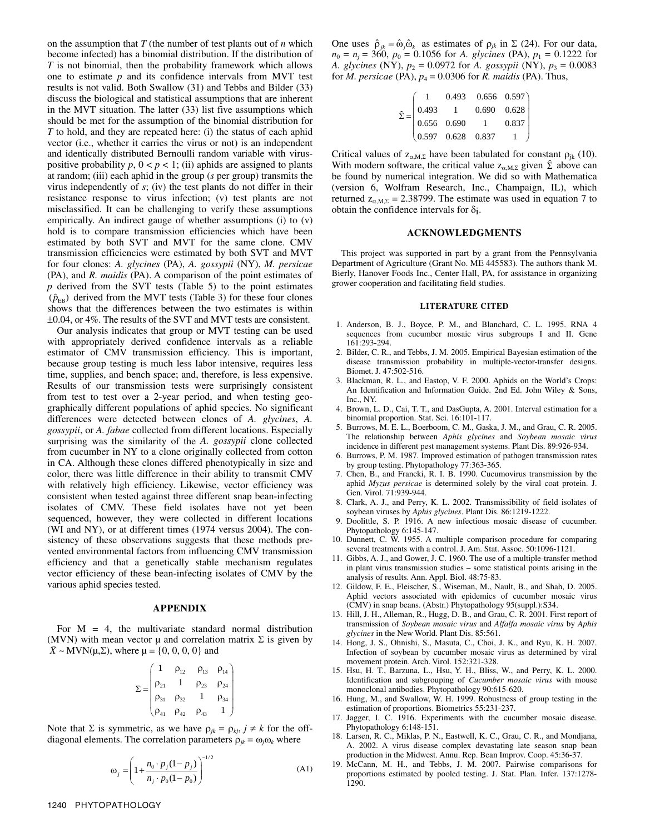on the assumption that *T* (the number of test plants out of *n* which become infected) has a binomial distribution. If the distribution of *T* is not binomial, then the probability framework which allows one to estimate *p* and its confidence intervals from MVT test results is not valid. Both Swallow (31) and Tebbs and Bilder (33) discuss the biological and statistical assumptions that are inherent in the MVT situation. The latter (33) list five assumptions which should be met for the assumption of the binomial distribution for *T* to hold, and they are repeated here: (i) the status of each aphid vector (i.e., whether it carries the virus or not) is an independent and identically distributed Bernoulli random variable with viruspositive probability  $p$ ,  $0 < p < 1$ ; (ii) aphids are assigned to plants at random; (iii) each aphid in the group (*s* per group) transmits the virus independently of *s*; (iv) the test plants do not differ in their resistance response to virus infection; (v) test plants are not misclassified. It can be challenging to verify these assumptions empirically. An indirect gauge of whether assumptions (i) to (v) hold is to compare transmission efficiencies which have been estimated by both SVT and MVT for the same clone. CMV transmission efficiencies were estimated by both SVT and MVT for four clones: *A. glycines* (PA), *A. gossypii* (NY), *M. persicae* (PA), and *R. maidis* (PA). A comparison of the point estimates of *p* derived from the SVT tests (Table 5) to the point estimates  $(\hat{p}_{\text{FB}})$  derived from the MVT tests (Table 3) for these four clones shows that the differences between the two estimates is within ±0.04, or 4%. The results of the SVT and MVT tests are consistent.

Our analysis indicates that group or MVT testing can be used with appropriately derived confidence intervals as a reliable estimator of CMV transmission efficiency. This is important, because group testing is much less labor intensive, requires less time, supplies, and bench space; and, therefore, is less expensive. Results of our transmission tests were surprisingly consistent from test to test over a 2-year period, and when testing geographically different populations of aphid species. No significant differences were detected between clones of *A. glycines*, *A. gossypii*, or *A. fabae* collected from different locations. Especially surprising was the similarity of the *A. gossypii* clone collected from cucumber in NY to a clone originally collected from cotton in CA. Although these clones differed phenotypically in size and color, there was little difference in their ability to transmit CMV with relatively high efficiency. Likewise, vector efficiency was consistent when tested against three different snap bean-infecting isolates of CMV. These field isolates have not yet been sequenced, however, they were collected in different locations (WI and NY), or at different times (1974 versus 2004). The consistency of these observations suggests that these methods prevented environmental factors from influencing CMV transmission efficiency and that a genetically stable mechanism regulates vector efficiency of these bean-infecting isolates of CMV by the various aphid species tested.

#### **APPENDIX**

For  $M = 4$ , the multivariate standard normal distribution (MVN) with mean vector  $\mu$  and correlation matrix  $\Sigma$  is given by  $\bar{X} \sim MVN(\mu, \Sigma)$ , where  $\mu = \{0, 0, 0, 0\}$  and

$$
\Sigma = \begin{pmatrix}\n1 & \rho_{12} & \rho_{13} & \rho_{14} \\
\rho_{21} & 1 & \rho_{23} & \rho_{24} \\
\rho_{31} & \rho_{32} & 1 & \rho_{34} \\
\rho_{41} & \rho_{42} & \rho_{43} & 1\n\end{pmatrix}
$$

Note that  $\Sigma$  is symmetric, as we have  $\rho_{jk} = \rho_{kj}, j \neq k$  for the offdiagonal elements. The correlation parameters  $\rho_{jk} = \omega_j \omega_k$  where

$$
\omega_j = \left(1 + \frac{n_0 \cdot p_j (1 - p_j)}{n_j \cdot p_0 (1 - p_0)}\right)^{-1/2}
$$
 (A1)

One uses  $\hat{\rho}_{jk} = \hat{\omega}_j \hat{\omega}_k$  as estimates of  $\rho_{jk}$  in  $\Sigma$  (24). For our data,  $n_0 = n_i = 360$ ,  $p_0 = 0.1056$  for *A. glycines* (PA),  $p_1 = 0.1222$  for *A. glycines* (NY),  $p_2 = 0.0972$  for *A. gossypii* (NY),  $p_3 = 0.0083$ for *M. persicae* (PA),  $p_4 = 0.0306$  for *R. maidis* (PA). Thus,

$$
\hat{\Sigma} = \begin{pmatrix} 1 & 0.493 & 0.656 & 0.597 \\ 0.493 & 1 & 0.690 & 0.628 \\ 0.656 & 0.690 & 1 & 0.837 \\ 0.597 & 0.628 & 0.837 & 1 \end{pmatrix}
$$

Critical values of  $z_{\alpha,M,\Sigma}$  have been tabulated for constant  $\rho_{ik}$  (10). With modern software, the critical value  $z_{\alpha, M,\Sigma}$  given  $\hat{\Sigma}$  above can be found by numerical integration. We did so with Mathematica (version 6, Wolfram Research, Inc., Champaign, IL), which returned  $z_{\alpha, M,\Sigma} = 2.38799$ . The estimate was used in equation 7 to obtain the confidence intervals for  $\delta_i$ .

## **ACKNOWLEDGMENTS**

This project was supported in part by a grant from the Pennsylvania Department of Agriculture (Grant No. ME 445583). The authors thank M. Bierly, Hanover Foods Inc., Center Hall, PA, for assistance in organizing grower cooperation and facilitating field studies.

#### **LITERATURE CITED**

- 1. Anderson, B. J., Boyce, P. M., and Blanchard, C. L. 1995. RNA 4 sequences from cucumber mosaic virus subgroups I and II. Gene 161:293-294.
- 2. Bilder, C. R., and Tebbs, J. M. 2005. Empirical Bayesian estimation of the disease transmission probability in multiple-vector-transfer designs. Biomet. J. 47:502-516.
- 3. Blackman, R. L., and Eastop, V. F. 2000. Aphids on the World's Crops: An Identification and Information Guide. 2nd Ed. John Wiley & Sons, Inc., NY.
- 4. Brown, L. D., Cai, T. T., and DasGupta, A. 2001. Interval estimation for a binomial proportion. Stat. Sci. 16:101-117.
- 5. Burrows, M. E. L., Boerboom, C. M., Gaska, J. M., and Grau, C. R. 2005. The relationship between *Aphis glycines* and *Soybean mosaic virus* incidence in different pest management systems. Plant Dis. 89:926-934.
- 6. Burrows, P. M. 1987. Improved estimation of pathogen transmission rates by group testing. Phytopathology 77:363-365.
- 7. Chen, B., and Francki, R. I. B. 1990. Cucumovirus transmission by the aphid *Myzus persicae* is determined solely by the viral coat protein. J. Gen. Virol. 71:939-944.
- 8. Clark, A. J., and Perry, K. L. 2002. Transmissibility of field isolates of soybean viruses by *Aphis glycines*. Plant Dis. 86:1219-1222.
- 9. Doolittle, S. P. 1916. A new infectious mosaic disease of cucumber. Phytopathology 6:145-147.
- 10. Dunnett, C. W. 1955. A multiple comparison procedure for comparing several treatments with a control. J. Am. Stat. Assoc. 50:1096-1121.
- 11. Gibbs, A. J., and Gower, J. C. 1960. The use of a multiple-transfer method in plant virus transmission studies – some statistical points arising in the analysis of results. Ann. Appl. Biol. 48:75-83.
- 12. Gildow, F. E., Fleischer, S., Wiseman, M., Nault, B., and Shah, D. 2005. Aphid vectors associated with epidemics of cucumber mosaic virus (CMV) in snap beans. (Abstr.) Phytopathology 95(suppl.):S34.
- 13. Hill, J. H., Alleman, R., Hugg, D. B., and Grau, C. R. 2001. First report of transmission of *Soybean mosaic virus* and *Alfalfa mosaic virus* by *Aphis glycines* in the New World. Plant Dis. 85:561.
- 14. Hong, J. S., Ohnishi, S., Masuta, C., Choi, J. K., and Ryu, K. H. 2007. Infection of soybean by cucumber mosaic virus as determined by viral movement protein. Arch. Virol. 152:321-328.
- 15. Hsu, H. T., Barzuna, L., Hsu, Y. H., Bliss, W., and Perry, K. L. 2000. Identification and subgrouping of *Cucumber mosaic virus* with mouse monoclonal antibodies. Phytopathology 90:615-620.
- 16. Hung, M., and Swallow, W. H. 1999. Robustness of group testing in the estimation of proportions. Biometrics 55:231-237.
- 17. Jagger, I. C. 1916. Experiments with the cucumber mosaic disease. Phytopathology 6:148-151.
- 18. Larsen, R. C., Miklas, P. N., Eastwell, K. C., Grau, C. R., and Mondjana, A. 2002. A virus disease complex devastating late season snap bean production in the Midwest. Annu. Rep. Bean Improv. Coop. 45:36-37.
- 19. McCann, M. H., and Tebbs, J. M. 2007. Pairwise comparisons for proportions estimated by pooled testing. J. Stat. Plan. Infer. 137:1278- 1290.